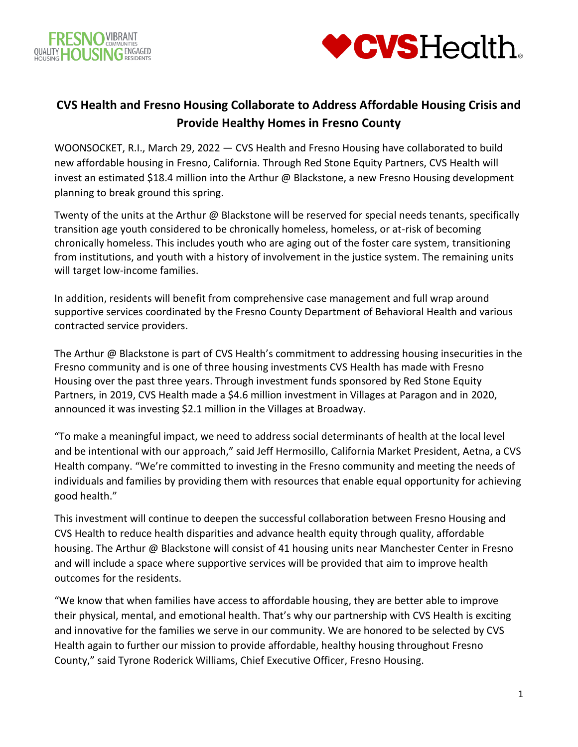



## **CVS Health and Fresno Housing Collaborate to Address Affordable Housing Crisis and Provide Healthy Homes in Fresno County**

WOONSOCKET, R.I., March 29, 2022 — CVS Health and Fresno Housing have collaborated to build new affordable housing in Fresno, California. Through Red Stone Equity Partners, CVS Health will invest an estimated \$18.4 million into the Arthur @ Blackstone, a new Fresno Housing development planning to break ground this spring.

Twenty of the units at the Arthur @ Blackstone will be reserved for special needs tenants, specifically transition age youth considered to be chronically homeless, homeless, or at-risk of becoming chronically homeless. This includes youth who are aging out of the foster care system, transitioning from institutions, and youth with a history of involvement in the justice system. The remaining units will target low-income families.

In addition, residents will benefit from comprehensive case management and full wrap around supportive services coordinated by the Fresno County Department of Behavioral Health and various contracted service providers.

The Arthur @ Blackstone is part of CVS Health's commitment to addressing housing insecurities in the Fresno community and is one of three housing investments CVS Health has made with Fresno Housing over the past three years. Through investment funds sponsored by Red Stone Equity Partners, in 2019, CVS Health made a \$4.6 million investment in Villages at Paragon and in 2020, announced it was investing \$2.1 million in the Villages at Broadway.

"To make a meaningful impact, we need to address social determinants of health at the local level and be intentional with our approach," said Jeff Hermosillo, California Market President, Aetna, a CVS Health company. "We're committed to investing in the Fresno community and meeting the needs of individuals and families by providing them with resources that enable equal opportunity for achieving good health."

This investment will continue to deepen the successful collaboration between Fresno Housing and CVS Health to reduce health disparities and advance health equity through quality, affordable housing. The Arthur @ Blackstone will consist of 41 housing units near Manchester Center in Fresno and will include a space where supportive services will be provided that aim to improve health outcomes for the residents.

"We know that when families have access to affordable housing, they are better able to improve their physical, mental, and emotional health. That's why our partnership with CVS Health is exciting and innovative for the families we serve in our community. We are honored to be selected by CVS Health again to further our mission to provide affordable, healthy housing throughout Fresno County," said Tyrone Roderick Williams, Chief Executive Officer, Fresno Housing.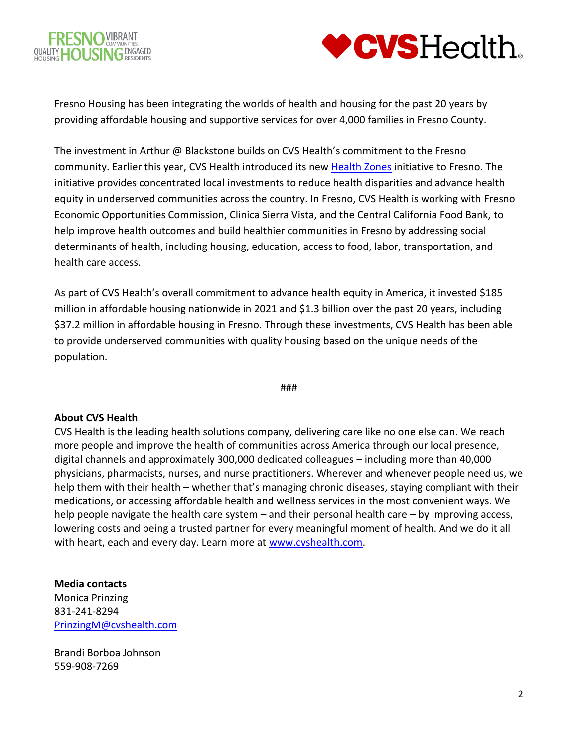



Fresno Housing has been integrating the worlds of health and housing for the past 20 years by providing affordable housing and supportive services for over 4,000 families in Fresno County.

The investment in Arthur @ Blackstone builds on CVS Health's commitment to the Fresno community. Earlier this year, CVS Health introduced its new [Health Zones](https://www.cvshealth.com/social-responsibility/health-zones/fresno) initiative to Fresno. The initiative provides concentrated local investments to reduce health disparities and advance health equity in underserved communities across the country. In Fresno, CVS Health is working with Fresno Economic Opportunities Commission, Clinica Sierra Vista, and the Central California Food Bank, to help improve health outcomes and build healthier communities in Fresno by addressing social determinants of health, including housing, education, access to food, labor, transportation, and health care access.

As part of CVS Health's overall commitment to advance health equity in America, it invested \$185 million in affordable housing nationwide in 2021 and \$1.3 billion over the past 20 years, including \$37.2 million in affordable housing in Fresno. Through these investments, CVS Health has been able to provide underserved communities with quality housing based on the unique needs of the population.

###

## **About CVS Health**

CVS Health is the leading health solutions company, delivering care like no one else can. We reach more people and improve the health of communities across America through our local presence, digital channels and approximately 300,000 dedicated colleagues – including more than 40,000 physicians, pharmacists, nurses, and nurse practitioners. Wherever and whenever people need us, we help them with their health – whether that's managing chronic diseases, staying compliant with their medications, or accessing affordable health and wellness services in the most convenient ways. We help people navigate the health care system – and their personal health care – by improving access, lowering costs and being a trusted partner for every meaningful moment of health. And we do it all with heart, each and every day. Learn more at [www.cvshealth.com.](http://www.cvshealth.com/)

## **Media contacts**

Monica Prinzing 831-241-8294 [PrinzingM@cvshealth.com](mailto:PrinzingM@cvshealth.com)

Brandi Borboa Johnson 559-908-7269